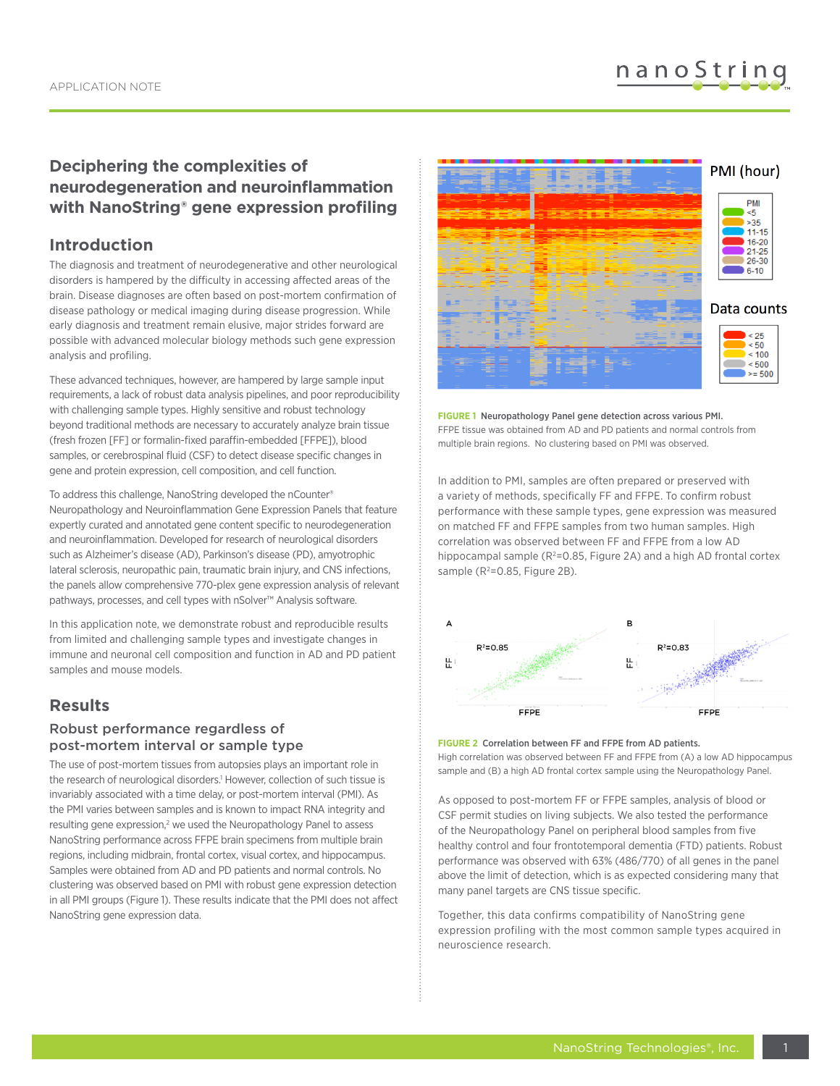# **Deciphering the complexities of neurodegeneration and neuroinflammation with NanoString® gene expression profiling**

## **Introduction**

The diagnosis and treatment of neurodegenerative and other neurological disorders is hampered by the difficulty in accessing affected areas of the brain. Disease diagnoses are often based on post-mortem confirmation of disease pathology or medical imaging during disease progression. While early diagnosis and treatment remain elusive, major strides forward are possible with advanced molecular biology methods such gene expression analysis and profiling.

These advanced techniques, however, are hampered by large sample input requirements, a lack of robust data analysis pipelines, and poor reproducibility with challenging sample types. Highly sensitive and robust technology beyond traditional methods are necessary to accurately analyze brain tissue (fresh frozen [FF] or formalin-fixed paraffin-embedded [FFPE]), blood samples, or cerebrospinal fluid (CSF) to detect disease specific changes in gene and protein expression, cell composition, and cell function.

To address this challenge, NanoString developed the nCounter® Neuropathology and Neuroinflammation Gene Expression Panels that feature expertly curated and annotated gene content specific to neurodegeneration and neuroinflammation. Developed for research of neurological disorders such as Alzheimer's disease (AD), Parkinson's disease (PD), amyotrophic lateral sclerosis, neuropathic pain, traumatic brain injury, and CNS infections, the panels allow comprehensive 770-plex gene expression analysis of relevant pathways, processes, and cell types with nSolver™ Analysis software.

In this application note, we demonstrate robust and reproducible results from limited and challenging sample types and investigate changes in immune and neuronal cell composition and function in AD and PD patient samples and mouse models.

# **Results**

### Robust performance regardless of post-mortem interval or sample type

The use of post-mortem tissues from autopsies plays an important role in the research of neurological disorders.<sup>1</sup> However, collection of such tissue is invariably associated with a time delay, or post-mortem interval (PMI). As the PMI varies between samples and is known to impact RNA integrity and resulting gene expression, $2$  we used the Neuropathology Panel to assess NanoString performance across FFPE brain specimens from multiple brain regions, including midbrain, frontal cortex, visual cortex, and hippocampus. Samples were obtained from AD and PD patients and normal controls. No clustering was observed based on PMI with robust gene expression detection in all PMI groups (Figure 1). These results indicate that the PMI does not affect NanoString gene expression data.



**FIGURE 1** Neuropathology Panel gene detection across various PMI. FFPE tissue was obtained from AD and PD patients and normal controls from multiple brain regions. No clustering based on PMI was observed.

In addition to PMI, samples are often prepared or preserved with a variety of methods, specifically FF and FFPE. To confirm robust performance with these sample types, gene expression was measured on matched FF and FFPE samples from two human samples. High correlation was observed between FF and FFPE from a low AD hippocampal sample ( $R^2$ =0.85, Figure 2A) and a high AD frontal cortex sample (R<sup>2</sup>=0.85, Figure 2B).



#### **FIGURE 2** Correlation between FF and FFPE from AD patients.

High correlation was observed between FF and FFPE from (A) a low AD hippocampus sample and (B) a high AD frontal cortex sample using the Neuropathology Panel.

As opposed to post-mortem FF or FFPE samples, analysis of blood or CSF permit studies on living subjects. We also tested the performance of the Neuropathology Panel on peripheral blood samples from five healthy control and four frontotemporal dementia (FTD) patients. Robust performance was observed with 63% (486/770) of all genes in the panel above the limit of detection, which is as expected considering many that many panel targets are CNS tissue specific.

Together, this data confirms compatibility of NanoString gene expression profiling with the most common sample types acquired in neuroscience research.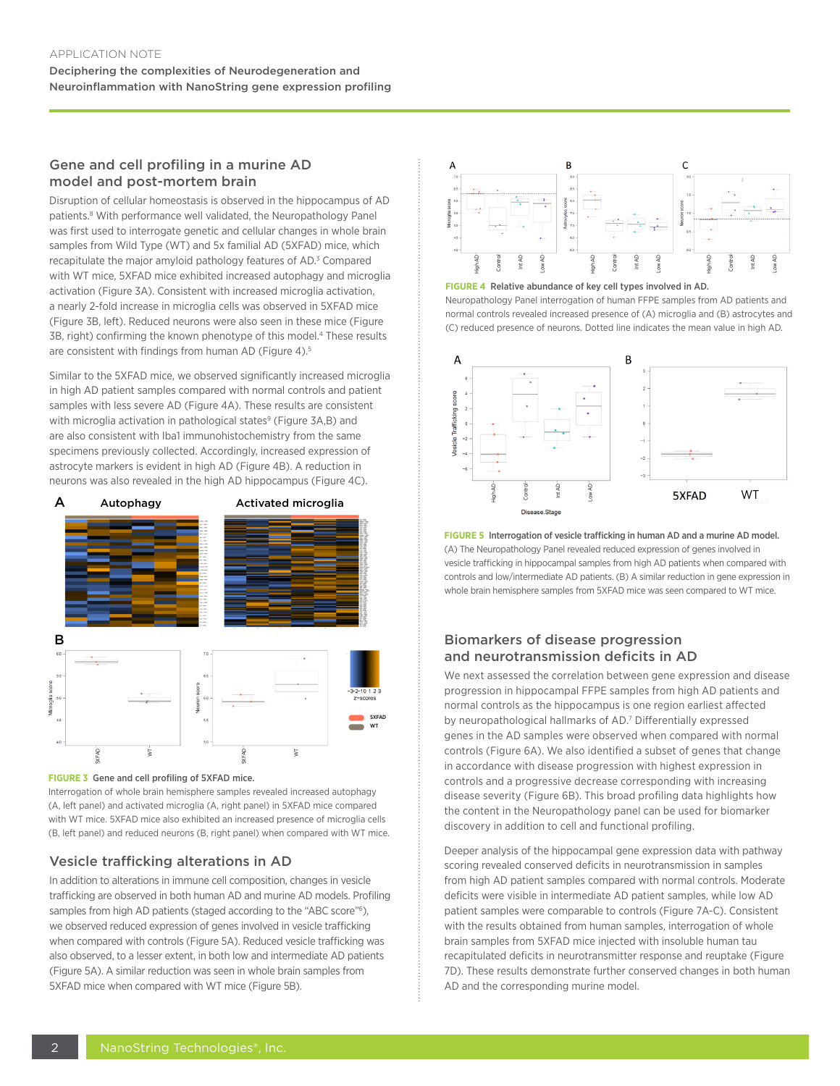### Gene and cell profiling in a murine AD model and post-mortem brain

Disruption of cellular homeostasis is observed in the hippocampus of AD patients.<sup>8</sup> With performance well validated, the Neuropathology Panel was first used to interrogate genetic and cellular changes in whole brain samples from Wild Type (WT) and 5x familial AD (5XFAD) mice, which recapitulate the major amyloid pathology features of AD.<sup>3</sup> Compared with WT mice, 5XFAD mice exhibited increased autophagy and microglia activation (Figure 3A). Consistent with increased microglia activation, a nearly 2-fold increase in microglia cells was observed in 5XFAD mice (Figure 3B, left). Reduced neurons were also seen in these mice (Figure 3B, right) confirming the known phenotype of this model.<sup>4</sup> These results are consistent with findings from human AD (Figure 4).<sup>5</sup>

Similar to the 5XFAD mice, we observed significantly increased microglia in high AD patient samples compared with normal controls and patient samples with less severe AD (Figure 4A). These results are consistent with microglia activation in pathological states<sup>9</sup> (Figure 3A,B) and are also consistent with Iba1 immunohistochemistry from the same specimens previously collected. Accordingly, increased expression of astrocyte markers is evident in high AD (Figure 4B). A reduction in neurons was also revealed in the high AD hippocampus (Figure 4C).





Interrogation of whole brain hemisphere samples revealed increased autophagy (A, left panel) and activated microglia (A, right panel) in 5XFAD mice compared with WT mice. 5XFAD mice also exhibited an increased presence of microglia cells (B, left panel) and reduced neurons (B, right panel) when compared with WT mice.

### Vesicle trafficking alterations in AD

In addition to alterations in immune cell composition, changes in vesicle trafficking are observed in both human AD and murine AD models. Profiling samples from high AD patients (staged according to the "ABC score"<sup>6</sup>), we observed reduced expression of genes involved in vesicle trafficking when compared with controls (Figure 5A). Reduced vesicle trafficking was also observed, to a lesser extent, in both low and intermediate AD patients (Figure 5A). A similar reduction was seen in whole brain samples from 5XFAD mice when compared with WT mice (Figure 5B).





Neuropathology Panel interrogation of human FFPE samples from AD patients and normal controls revealed increased presence of (A) microglia and (B) astrocytes and (C) reduced presence of neurons. Dotted line indicates the mean value in high AD.



**FIGURE 5** Interrogation of vesicle trafficking in human AD and a murine AD model. (A) The Neuropathology Panel revealed reduced expression of genes involved in vesicle trafficking in hippocampal samples from high AD patients when compared with controls and low/intermediate AD patients. (B) A similar reduction in gene expression in whole brain hemisphere samples from 5XFAD mice was seen compared to WT mice.

### Biomarkers of disease progression and neurotransmission deficits in AD

We next assessed the correlation between gene expression and disease progression in hippocampal FFPE samples from high AD patients and normal controls as the hippocampus is one region earliest affected by neuropathological hallmarks of AD.<sup>7</sup> Differentially expressed genes in the AD samples were observed when compared with normal controls (Figure 6A). We also identified a subset of genes that change in accordance with disease progression with highest expression in controls and a progressive decrease corresponding with increasing disease severity (Figure 6B). This broad profiling data highlights how the content in the Neuropathology panel can be used for biomarker discovery in addition to cell and functional profiling.

Deeper analysis of the hippocampal gene expression data with pathway scoring revealed conserved deficits in neurotransmission in samples from high AD patient samples compared with normal controls. Moderate deficits were visible in intermediate AD patient samples, while low AD patient samples were comparable to controls (Figure 7A-C). Consistent with the results obtained from human samples, interrogation of whole brain samples from 5XFAD mice injected with insoluble human tau recapitulated deficits in neurotransmitter response and reuptake (Figure 7D). These results demonstrate further conserved changes in both human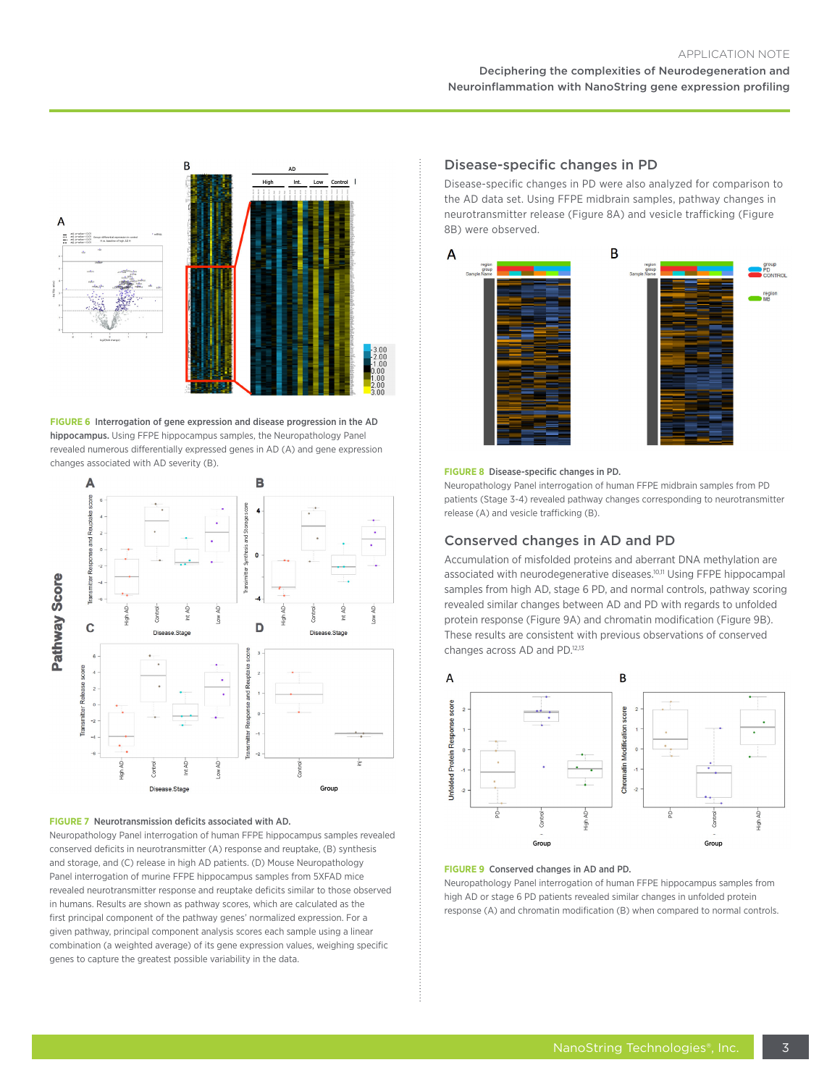### Deciphering the complexities of Neurodegeneration and Neuroinflammation with NanoString gene expression profiling



**FIGURE 6** Interrogation of gene expression and disease progression in the AD hippocampus. Using FFPE hippocampus samples, the Neuropathology Panel revealed numerous differentially expressed genes in AD (A) and gene expression changes associated with AD severity (B).



#### **FIGURE 7** Neurotransmission deficits associated with AD.

Neuropathology Panel interrogation of human FFPE hippocampus samples revealed conserved deficits in neurotransmitter (A) response and reuptake, (B) synthesis and storage, and (C) release in high AD patients. (D) Mouse Neuropathology Panel interrogation of murine FFPE hippocampus samples from 5XFAD mice revealed neurotransmitter response and reuptake deficits similar to those observed in humans. Results are shown as pathway scores, which are calculated as the first principal component of the pathway genes' normalized expression. For a given pathway, principal component analysis scores each sample using a linear combination (a weighted average) of its gene expression values, weighing specific genes to capture the greatest possible variability in the data.

### Disease-specific changes in PD

Disease-specific changes in PD were also analyzed for comparison to the AD data set. Using FFPE midbrain samples, pathway changes in neurotransmitter release (Figure 8A) and vesicle trafficking (Figure 8B) were observed.



#### **FIGURE 8** Disease-specific changes in PD.

Neuropathology Panel interrogation of human FFPE midbrain samples from PD patients (Stage 3-4) revealed pathway changes corresponding to neurotransmitter release (A) and vesicle trafficking (B).

### Conserved changes in AD and PD

Accumulation of misfolded proteins and aberrant DNA methylation are associated with neurodegenerative diseases.<sup>10,11</sup> Using FFPE hippocampal samples from high AD, stage 6 PD, and normal controls, pathway scoring revealed similar changes between AD and PD with regards to unfolded protein response (Figure 9A) and chromatin modification (Figure 9B). These results are consistent with previous observations of conserved changes across AD and PD.<sup>12,13</sup>



#### **FIGURE 9** Conserved changes in AD and PD.

Neuropathology Panel interrogation of human FFPE hippocampus samples from high AD or stage 6 PD patients revealed similar changes in unfolded protein response (A) and chromatin modification (B) when compared to normal controls.